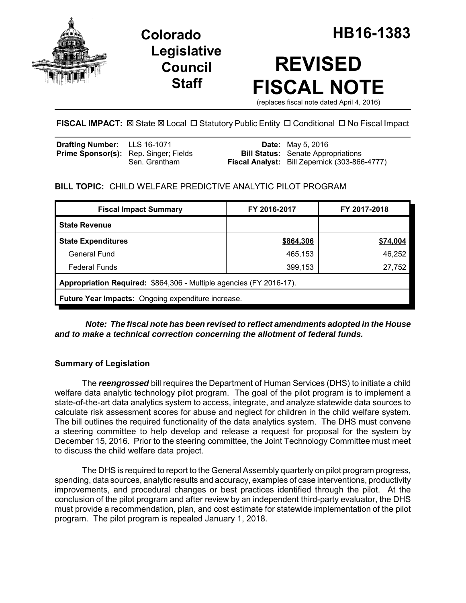

**Legislative Council Staff**

# **REVISED FISCAL NOTE**

(replaces fiscal note dated April 4, 2016)

FISCAL IMPACT:  $\boxtimes$  State  $\boxtimes$  Local  $\Box$  Statutory Public Entity  $\Box$  Conditional  $\Box$  No Fiscal Impact

| <b>Drafting Number:</b> LLS 16-1071          |               | <b>Date:</b> May 5, 2016                             |
|----------------------------------------------|---------------|------------------------------------------------------|
| <b>Prime Sponsor(s):</b> Rep. Singer; Fields |               | <b>Bill Status:</b> Senate Appropriations            |
|                                              | Sen. Grantham | <b>Fiscal Analyst:</b> Bill Zepernick (303-866-4777) |

# **BILL TOPIC:** CHILD WELFARE PREDICTIVE ANALYTIC PILOT PROGRAM

| <b>Fiscal Impact Summary</b>                                        | FY 2016-2017 | FY 2017-2018 |  |  |  |  |
|---------------------------------------------------------------------|--------------|--------------|--|--|--|--|
| <b>State Revenue</b>                                                |              |              |  |  |  |  |
| <b>State Expenditures</b>                                           | \$864,306    | \$74,004     |  |  |  |  |
| General Fund                                                        | 465,153      | 46,252       |  |  |  |  |
| <b>Federal Funds</b>                                                | 399,153      | 27,752       |  |  |  |  |
| Appropriation Required: \$864,306 - Multiple agencies (FY 2016-17). |              |              |  |  |  |  |
| <b>Future Year Impacts:</b> Ongoing expenditure increase.           |              |              |  |  |  |  |

*Note: The fiscal note has been revised to reflect amendments adopted in the House and to make a technical correction concerning the allotment of federal funds.*

## **Summary of Legislation**

The *reengrossed* bill requires the Department of Human Services (DHS) to initiate a child welfare data analytic technology pilot program. The goal of the pilot program is to implement a state-of-the-art data analytics system to access, integrate, and analyze statewide data sources to calculate risk assessment scores for abuse and neglect for children in the child welfare system. The bill outlines the required functionality of the data analytics system. The DHS must convene a steering committee to help develop and release a request for proposal for the system by December 15, 2016. Prior to the steering committee, the Joint Technology Committee must meet to discuss the child welfare data project.

The DHS is required to report to the General Assembly quarterly on pilot program progress, spending, data sources, analytic results and accuracy, examples of case interventions, productivity improvements, and procedural changes or best practices identified through the pilot. At the conclusion of the pilot program and after review by an independent third-party evaluator, the DHS must provide a recommendation, plan, and cost estimate for statewide implementation of the pilot program. The pilot program is repealed January 1, 2018.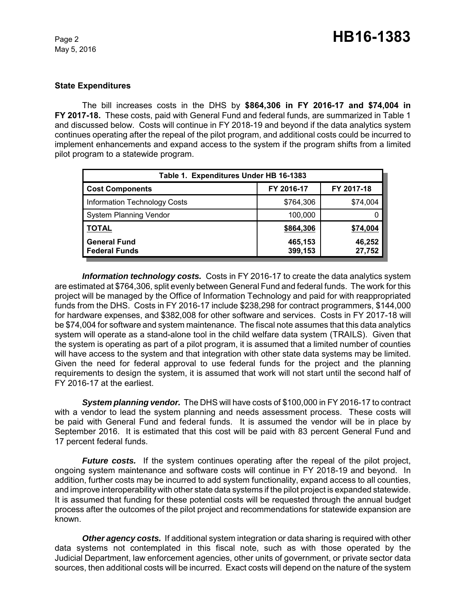May 5, 2016

#### **State Expenditures**

The bill increases costs in the DHS by **\$864,306 in FY 2016-17 and \$74,004 in FY 2017-18.** These costs, paid with General Fund and federal funds, are summarized in Table 1 and discussed below. Costs will continue in FY 2018-19 and beyond if the data analytics system continues operating after the repeal of the pilot program, and additional costs could be incurred to implement enhancements and expand access to the system if the program shifts from a limited pilot program to a statewide program.

| Table 1. Expenditures Under HB 16-1383      |                    |                  |  |  |  |
|---------------------------------------------|--------------------|------------------|--|--|--|
| <b>Cost Components</b>                      | FY 2016-17         | FY 2017-18       |  |  |  |
| <b>Information Technology Costs</b>         | \$764,306          | \$74,004         |  |  |  |
| <b>System Planning Vendor</b>               | 100,000            |                  |  |  |  |
| <b>TOTAL</b>                                | \$864,306          | \$74,004         |  |  |  |
| <b>General Fund</b><br><b>Federal Funds</b> | 465,153<br>399,153 | 46,252<br>27,752 |  |  |  |

*Information technology costs.* Costs in FY 2016-17 to create the data analytics system are estimated at \$764,306, split evenly between General Fund and federal funds. The work for this project will be managed by the Office of Information Technology and paid for with reappropriated funds from the DHS. Costs in FY 2016-17 include \$238,298 for contract programmers, \$144,000 for hardware expenses, and \$382,008 for other software and services. Costs in FY 2017-18 will be \$74,004 for software and system maintenance. The fiscal note assumes that this data analytics system will operate as a stand-alone tool in the child welfare data system (TRAILS). Given that the system is operating as part of a pilot program, it is assumed that a limited number of counties will have access to the system and that integration with other state data systems may be limited. Given the need for federal approval to use federal funds for the project and the planning requirements to design the system, it is assumed that work will not start until the second half of FY 2016-17 at the earliest.

*System planning vendor.* The DHS will have costs of \$100,000 in FY 2016-17 to contract with a vendor to lead the system planning and needs assessment process. These costs will be paid with General Fund and federal funds. It is assumed the vendor will be in place by September 2016. It is estimated that this cost will be paid with 83 percent General Fund and 17 percent federal funds.

*Future costs.* If the system continues operating after the repeal of the pilot project, ongoing system maintenance and software costs will continue in FY 2018-19 and beyond. In addition, further costs may be incurred to add system functionality, expand access to all counties, and improve interoperability with other state data systems if the pilot project is expanded statewide. It is assumed that funding for these potential costs will be requested through the annual budget process after the outcomes of the pilot project and recommendations for statewide expansion are known.

*Other agency costs.* If additional system integration or data sharing is required with other data systems not contemplated in this fiscal note, such as with those operated by the Judicial Department, law enforcement agencies, other units of government, or private sector data sources, then additional costs will be incurred. Exact costs will depend on the nature of the system